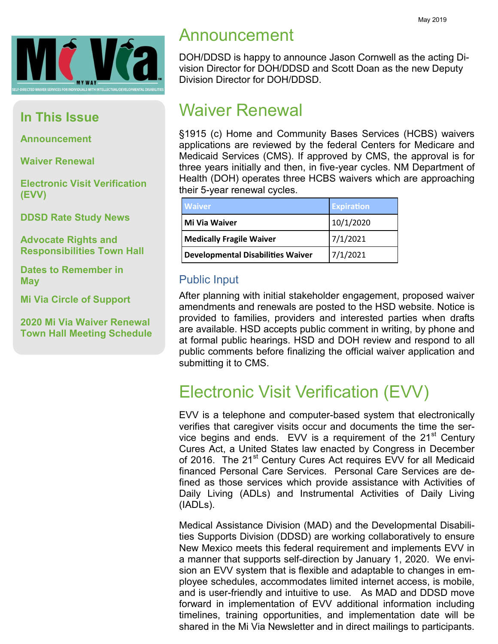

## **In This Issue**

**Announcement**

**Waiver Renewal**

**Electronic Visit Verification (EVV)**

**DDSD Rate Study News**

**Advocate Rights and Responsibilities Town Hall**

**Dates to Remember in May**

**Mi Via Circle of Support**

**2020 Mi Via Waiver Renewal Town Hall Meeting Schedule**

## Announcement

DOH/DDSD is happy to announce Jason Cornwell as the acting Division Director for DOH/DDSD and Scott Doan as the new Deputy Division Director for DOH/DDSD.

## Waiver Renewal

§1915 (c) Home and Community Bases Services (HCBS) waivers applications are reviewed by the federal Centers for Medicare and Medicaid Services (CMS). If approved by CMS, the approval is for three years initially and then, in five-year cycles. NM Department of Health (DOH) operates three HCBS waivers which are approaching their 5-year renewal cycles.

| <b>Waiver</b>                            | <b>Expiration</b> |
|------------------------------------------|-------------------|
| Mi Via Waiver                            | 10/1/2020         |
| <b>Medically Fragile Waiver</b>          | 7/1/2021          |
| <b>Developmental Disabilities Waiver</b> | 7/1/2021          |

#### Public Input

After planning with initial stakeholder engagement, proposed waiver amendments and renewals are posted to the HSD website. Notice is provided to families, providers and interested parties when drafts are available. HSD accepts public comment in writing, by phone and at formal public hearings. HSD and DOH review and respond to all public comments before finalizing the official waiver application and submitting it to CMS.

## Electronic Visit Verification (EVV)

EVV is a telephone and computer-based system that electronically verifies that caregiver visits occur and documents the time the service begins and ends. EVV is a requirement of the  $21<sup>st</sup>$  Century Cures Act, a United States law enacted by Congress in December of 2016. The 21<sup>st</sup> Century Cures Act requires EVV for all Medicaid financed Personal Care Services. Personal Care Services are defined as those services which provide assistance with Activities of Daily Living (ADLs) and Instrumental Activities of Daily Living (IADLs).

Medical Assistance Division (MAD) and the Developmental Disabilities Supports Division (DDSD) are working collaboratively to ensure New Mexico meets this federal requirement and implements EVV in a manner that supports self-direction by January 1, 2020. We envision an EVV system that is flexible and adaptable to changes in employee schedules, accommodates limited internet access, is mobile, and is user-friendly and intuitive to use. As MAD and DDSD move forward in implementation of EVV additional information including timelines, training opportunities, and implementation date will be shared in the Mi Via Newsletter and in direct mailings to participants.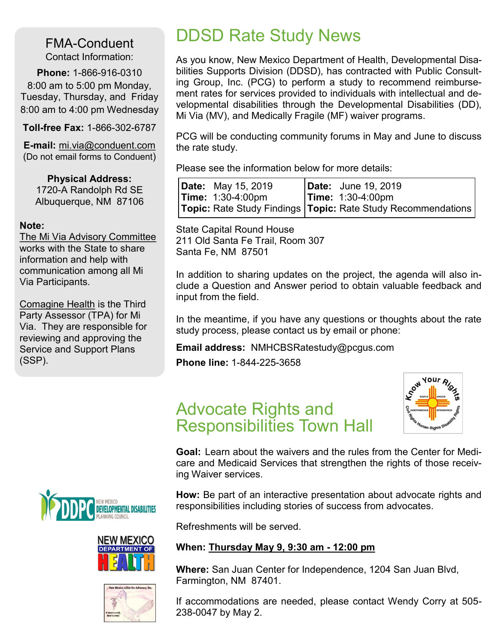FMA-Conduent Contact Information:

**Phone:** 1-866-916-0310 8:00 am to 5:00 pm Monday, Tuesday, Thursday, and Friday 8:00 am to 4:00 pm Wednesday

**Toll-free Fax:** 1-866-302-6787

**E-mail:** mi.via@conduent.com (Do not email forms to Conduent)

**Physical Address:** 1720-A Randolph Rd SE Albuquerque, NM 87106

#### **Note:**

The Mi Via Advisory Committee works with the State to share information and help with communication among all Mi Via Participants.

Comagine Health is the Third Party Assessor (TPA) for Mi Via. They are responsible for reviewing and approving the Service and Support Plans (SSP).







## DDSD Rate Study News

As you know, New Mexico Department of Health, Developmental Disabilities Supports Division (DDSD), has contracted with Public Consulting Group, Inc. (PCG) to perform a study to recommend reimbursement rates for services provided to individuals with intellectual and developmental disabilities through the Developmental Disabilities (DD), Mi Via (MV), and Medically Fragile (MF) waiver programs.

PCG will be conducting community forums in May and June to discuss the rate study.

Please see the information below for more details:

| <b>Date:</b> May 15, 2019          | <b>Date:</b> June 19, 2019                                                 |
|------------------------------------|----------------------------------------------------------------------------|
| <b>Time:</b> $1:30-4:00 \text{pm}$ | $\textsf{Time: } 1:30-4:00 \text{pm}$                                      |
|                                    | <b>Topic:</b> Rate Study Findings <b>Topic:</b> Rate Study Recommendations |

State Capital Round House 211 Old Santa Fe Trail, Room 307 Santa Fe, NM 87501

In addition to sharing updates on the project, the agenda will also include a Question and Answer period to obtain valuable feedback and input from the field.

In the meantime, if you have any questions or thoughts about the rate study process, please contact us by email or phone:

#### **Email address:** NMHCBSRatestudy@pcgus.com

**Phone line:** 1-844-225-3658





**Goal:** Learn about the waivers and the rules from the Center for Medicare and Medicaid Services that strengthen the rights of those receiving Waiver services.

**How:** Be part of an interactive presentation about advocate rights and responsibilities including stories of success from advocates.

Refreshments will be served.

#### **When: Thursday May 9, 9:30 am - 12:00 pm**

**Where:** San Juan Center for Independence, 1204 San Juan Blvd, Farmington, NM 87401.

If accommodations are needed, please contact Wendy Corry at 505- 238-0047 by May 2.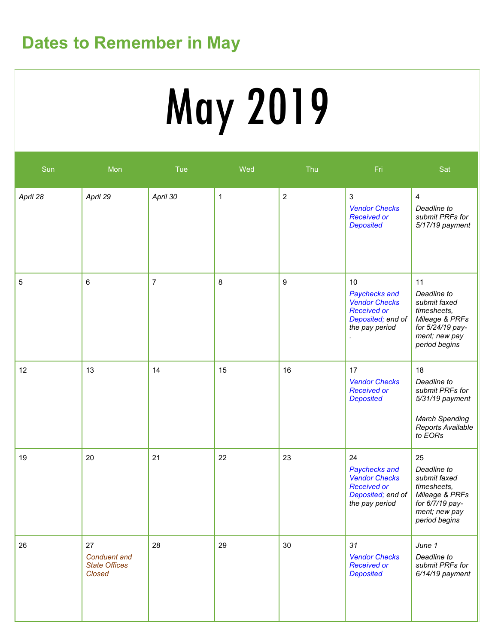## **Dates to Remember in May**

# May 2019

| Sun         | Mon                                                         | Tue            | Wed          | Thu              | Fri                                                                                                      | Sat                                                                                                                      |
|-------------|-------------------------------------------------------------|----------------|--------------|------------------|----------------------------------------------------------------------------------------------------------|--------------------------------------------------------------------------------------------------------------------------|
| April 28    | April 29                                                    | April 30       | $\mathbf{1}$ | $\overline{2}$   | 3<br><b>Vendor Checks</b><br><b>Received or</b><br><b>Deposited</b>                                      | $\overline{\mathbf{4}}$<br>Deadline to<br>submit PRFs for<br>5/17/19 payment                                             |
| $\mathbf 5$ | 6                                                           | $\overline{7}$ | 8            | $\boldsymbol{9}$ | 10<br>Paychecks and<br><b>Vendor Checks</b><br><b>Received or</b><br>Deposited; end of<br>the pay period | 11<br>Deadline to<br>submit faxed<br>timesheets,<br>Mileage & PRFs<br>for 5/24/19 pay-<br>ment; new pay<br>period begins |
| 12          | 13                                                          | 14             | 15           | 16               | 17<br><b>Vendor Checks</b><br><b>Received or</b><br><b>Deposited</b>                                     | 18<br>Deadline to<br>submit PRFs for<br>5/31/19 payment<br><b>March Spending</b><br>Reports Available<br>to EORs         |
| 19          | 20                                                          | 21             | 22           | 23               | 24<br>Paychecks and<br><b>Vendor Checks</b><br><b>Received or</b><br>Deposited; end of<br>the pay period | 25<br>Deadline to<br>submit faxed<br>timesheets,<br>Mileage & PRFs<br>for 6/7/19 pay-<br>ment; new pay<br>period begins  |
| 26          | 27<br><b>Conduent</b> and<br><b>State Offices</b><br>Closed | 28             | 29           | 30               | 31<br><b>Vendor Checks</b><br><b>Received or</b><br><b>Deposited</b>                                     | June 1<br>Deadline to<br>submit PRFs for<br>6/14/19 payment                                                              |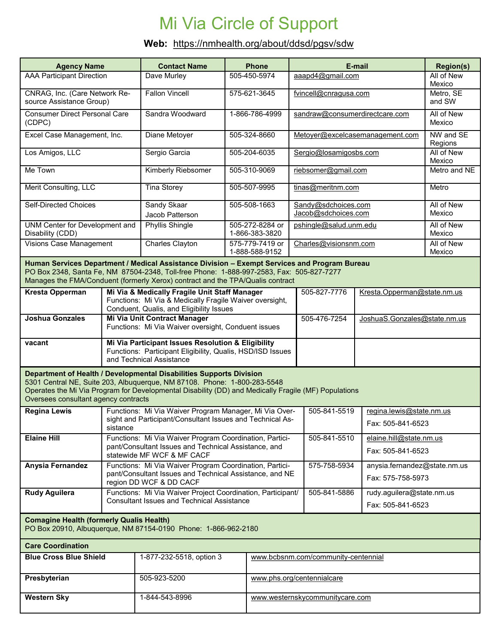# Mi Via Circle of Support

### **Web:** https://nmhealth.org/about/ddsd/pgsv/sdw

| <b>Agency Name</b>                                                                                                                                                                                                                                                                              |                                                                                                                  | <b>Contact Name</b>                                                                                                                                  | <b>Phone</b>                                            | E-mail                                     |                                                   | <b>Region(s)</b>            |  |
|-------------------------------------------------------------------------------------------------------------------------------------------------------------------------------------------------------------------------------------------------------------------------------------------------|------------------------------------------------------------------------------------------------------------------|------------------------------------------------------------------------------------------------------------------------------------------------------|---------------------------------------------------------|--------------------------------------------|---------------------------------------------------|-----------------------------|--|
| <b>AAA Participant Direction</b>                                                                                                                                                                                                                                                                |                                                                                                                  | Dave Murley                                                                                                                                          | 505-450-5974                                            | aaapd4@gmail.com                           |                                                   | All of New<br>Mexico        |  |
| CNRAG, Inc. (Care Network Re-<br>source Assistance Group)                                                                                                                                                                                                                                       |                                                                                                                  | <b>Fallon Vincell</b>                                                                                                                                | 575-621-3645                                            | fvincell@cnragusa.com                      |                                                   | Metro, SE<br>and SW         |  |
| <b>Consumer Direct Personal Care</b><br>(CDPC)                                                                                                                                                                                                                                                  |                                                                                                                  | Sandra Woodward                                                                                                                                      | 1-866-786-4999                                          | sandraw@consumerdirectcare.com             |                                                   | All of New<br>Mexico        |  |
| Excel Case Management, Inc.                                                                                                                                                                                                                                                                     |                                                                                                                  | Diane Metoyer                                                                                                                                        | 505-324-8660                                            | Metoyer@excelcasemanagement.com            |                                                   | NW and SE<br>Regions        |  |
| Los Amigos, LLC                                                                                                                                                                                                                                                                                 |                                                                                                                  | Sergio Garcia                                                                                                                                        | 505-204-6035                                            | Sergio@losamigosbs.com                     |                                                   | All of New<br>Mexico        |  |
| Me Town                                                                                                                                                                                                                                                                                         |                                                                                                                  | Kimberly Riebsomer                                                                                                                                   | 505-310-9069                                            | riebsomer@gmail.com                        |                                                   | Metro and NE                |  |
| Merit Consulting, LLC                                                                                                                                                                                                                                                                           |                                                                                                                  | <b>Tina Storey</b>                                                                                                                                   | 505-507-9995                                            | tinas@meritnm.com                          |                                                   | Metro                       |  |
| <b>Self-Directed Choices</b>                                                                                                                                                                                                                                                                    |                                                                                                                  | Sandy Skaar<br>Jacob Patterson                                                                                                                       | 505-508-1663                                            | Sandy@sdchoices.com<br>Jacob@sdchoices.com |                                                   | All of New<br>Mexico        |  |
| UNM Center for Development and<br>Disability (CDD)                                                                                                                                                                                                                                              |                                                                                                                  | <b>Phyllis Shingle</b>                                                                                                                               | 505-272-8284 or<br>1-866-383-3820                       | pshingle@salud.unm.edu                     | All of New<br>Mexico                              |                             |  |
| <b>Visions Case Management</b>                                                                                                                                                                                                                                                                  |                                                                                                                  | Charles Clayton                                                                                                                                      | 575-779-7419 or<br>1-888-588-9152                       | Charles@visionsnm.com                      |                                                   | All of New<br>Mexico        |  |
| Human Services Department / Medical Assistance Division - Exempt Services and Program Bureau<br>PO Box 2348, Santa Fe, NM 87504-2348, Toll-free Phone: 1-888-997-2583, Fax: 505-827-7277<br>Manages the FMA/Conduent (formerly Xerox) contract and the TPA/Qualis contract                      |                                                                                                                  |                                                                                                                                                      |                                                         |                                            |                                                   |                             |  |
| <b>Kresta Opperman</b>                                                                                                                                                                                                                                                                          |                                                                                                                  | Mi Via & Medically Fragile Unit Staff Manager<br>Functions: Mi Via & Medically Fragile Waiver oversight,<br>Conduent, Qualis, and Eligibility Issues |                                                         | 505-827-7776                               |                                                   | Kresta.Opperman@state.nm.us |  |
| <b>Joshua Gonzales</b>                                                                                                                                                                                                                                                                          |                                                                                                                  | Mi Via Unit Contract Manager<br>Functions: Mi Via Waiver oversight, Conduent issues                                                                  | 505-476-7254                                            |                                            | JoshuaS.Gonzales@state.nm.us                      |                             |  |
| vacant                                                                                                                                                                                                                                                                                          |                                                                                                                  | Mi Via Participant Issues Resolution & Eligibility<br>Functions: Participant Eligibility, Qualis, HSD/ISD Issues<br>and Technical Assistance         |                                                         |                                            |                                                   |                             |  |
| Department of Health / Developmental Disabilities Supports Division<br>5301 Central NE, Suite 203, Albuquerque, NM 87108. Phone: 1-800-283-5548<br>Operates the Mi Via Program for Developmental Disability (DD) and Medically Fragile (MF) Populations<br>Oversees consultant agency contracts |                                                                                                                  |                                                                                                                                                      |                                                         |                                            |                                                   |                             |  |
| <b>Regina Lewis</b>                                                                                                                                                                                                                                                                             |                                                                                                                  | Functions: Mi Via Waiver Program Manager, Mi Via Over-<br>sight and Participant/Consultant Issues and Technical As-                                  |                                                         | 505-841-5519                               | regina.lewis@state.nm.us                          |                             |  |
|                                                                                                                                                                                                                                                                                                 | sistance                                                                                                         |                                                                                                                                                      | Functions: Mi Via Waiver Program Coordination, Partici- |                                            |                                                   | Fax: 505-841-6523           |  |
| <b>Elaine Hill</b>                                                                                                                                                                                                                                                                              |                                                                                                                  | pant/Consultant Issues and Technical Assistance, and<br>statewide MF WCF & MF CACF                                                                   |                                                         | 505-841-5510                               | elaine.hill@state.nm.us<br>Fax: 505-841-6523      |                             |  |
| Anysia Fernandez                                                                                                                                                                                                                                                                                |                                                                                                                  | Functions: Mi Via Waiver Program Coordination, Partici-<br>pant/Consultant Issues and Technical Assistance, and NE<br>region DD WCF & DD CACF        |                                                         | 575-758-5934                               | anysia.fernandez@state.nm.us<br>Fax: 575-758-5973 |                             |  |
| <b>Rudy Aguilera</b>                                                                                                                                                                                                                                                                            | Functions: Mi Via Waiver Project Coordination, Participant/<br><b>Consultant Issues and Technical Assistance</b> |                                                                                                                                                      |                                                         | 505-841-5886                               | rudy.aguilera@state.nm.us<br>Fax: 505-841-6523    |                             |  |
| <b>Comagine Health (formerly Qualis Health)</b><br>PO Box 20910, Albuquerque, NM 87154-0190 Phone: 1-866-962-2180                                                                                                                                                                               |                                                                                                                  |                                                                                                                                                      |                                                         |                                            |                                                   |                             |  |
| <b>Care Coordination</b>                                                                                                                                                                                                                                                                        |                                                                                                                  |                                                                                                                                                      |                                                         |                                            |                                                   |                             |  |
| <b>Blue Cross Blue Shield</b>                                                                                                                                                                                                                                                                   |                                                                                                                  | 1-877-232-5518, option 3                                                                                                                             |                                                         | www.bcbsnm.com/community-centennial        |                                                   |                             |  |
| Presbyterian                                                                                                                                                                                                                                                                                    |                                                                                                                  | 505-923-5200                                                                                                                                         |                                                         | www.phs.org/centennialcare                 |                                                   |                             |  |
| <b>Western Sky</b>                                                                                                                                                                                                                                                                              |                                                                                                                  | 1-844-543-8996                                                                                                                                       |                                                         | www.westernskycommunitycare.com            |                                                   |                             |  |